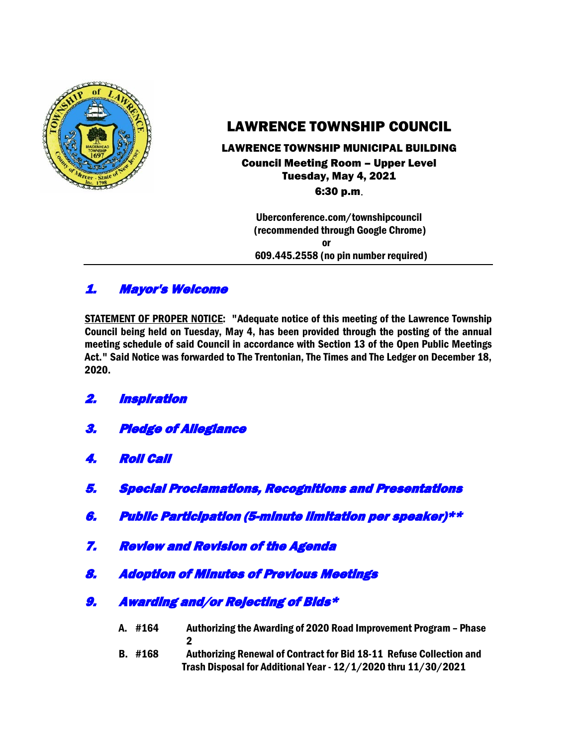

# LAWRENCE TOWNSHIP COUNCIL

## LAWRENCE TOWNSHIP MUNICIPAL BUILDING Council Meeting Room – Upper Level Tuesday, May 4, 2021 6:30 p.m.

 Uberconference.com/townshipcouncil (recommended through Google Chrome)

**or** *or* 609.445.2558 (no pin number required)

# 1. Mayor's Welcome

STATEMENT OF PROPER NOTICE: "Adequate notice of this meeting of the Lawrence Township Council being held on Tuesday, May 4, has been provided through the posting of the annual meeting schedule of said Council in accordance with Section 13 of the Open Public Meetings Act." Said Notice was forwarded to The Trentonian, The Times and The Ledger on December 18, 2020.

- 2. Inspiration
- 3. Pledge of Allegiance
- 4. Roll Call
- 5. Special Proclamations, Recognitions and Presentations
- 6. Public Participation (5-minute limitation per speaker)\*\*
- 7. Review and Revision of the Agenda
- 8. Adoption of Minutes of Previous Meetings
- 9. Awarding and/or Rejecting of Bids\*
	- A. #164 Authorizing the Awarding of 2020 Road Improvement Program Phase 2
		-
	- B. #168 Authorizing Renewal of Contract for Bid 18-11 Refuse Collection and Trash Disposal for Additional Year - 12/1/2020 thru 11/30/2021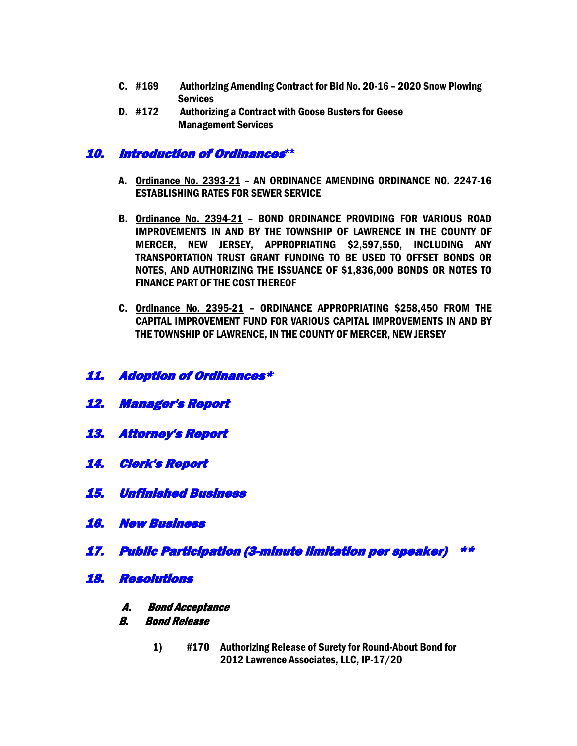- C. #169 Authorizing Amending Contract for Bid No. 20-16 2020 Snow Plowing **Services**
- D. #172 Authorizing a Contract with Goose Busters for Geese Management Services

## 10. Introduction of Ordinances**\*\***

- A. Ordinance No. 2393-21 AN ORDINANCE AMENDING ORDINANCE NO. 2247-16 ESTABLISHING RATES FOR SEWER SERVICE
- B. Ordinance No. 2394-21 BOND ORDINANCE PROVIDING FOR VARIOUS ROAD IMPROVEMENTS IN AND BY THE TOWNSHIP OF LAWRENCE IN THE COUNTY OF MERCER, NEW JERSEY, APPROPRIATING \$2,597,550, INCLUDING ANY TRANSPORTATION TRUST GRANT FUNDING TO BE USED TO OFFSET BONDS OR NOTES, AND AUTHORIZING THE ISSUANCE OF \$1,836,000 BONDS OR NOTES TO FINANCE PART OF THE COST THEREOF
- C. Ordinance No. 2395-21 ORDINANCE APPROPRIATING \$258,450 FROM THE CAPITAL IMPROVEMENT FUND FOR VARIOUS CAPITAL IMPROVEMENTS IN AND BY THE TOWNSHIP OF LAWRENCE, IN THE COUNTY OF MERCER, NEW JERSEY
- 11. Adoption of Ordinances\*
- 12. Manager's Report
- 13. Attorney's Report
- 14. Clerk's Report
- 15. Unfinished Business
- 16. New Business
- 17. Public Participation (3-minute limitation per speaker) \*\*
- 18. Resolutions
	- A. Bond Acceptance
	- <sup>B</sup>. Bond Release
		- 1) #170 Authorizing Release of Surety for Round-About Bond for 2012 Lawrence Associates, LLC, IP-17/20